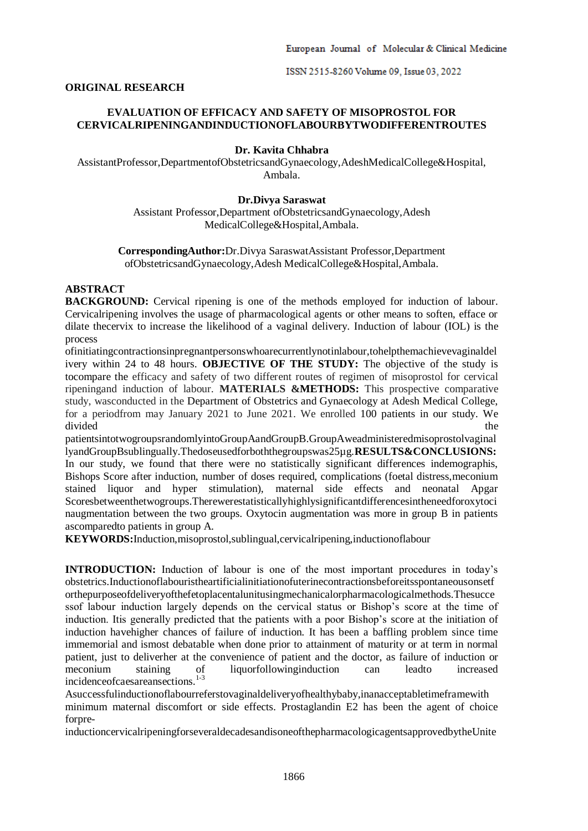ISSN 2515-8260 Volume 09, Issue 03, 2022

### **ORIGINAL RESEARCH**

# **EVALUATION OF EFFICACY AND SAFETY OF MISOPROSTOL FOR CERVICALRIPENINGANDINDUCTIONOFLABOURBYTWODIFFERENTROUTES**

# **Dr. Kavita Chhabra**

AssistantProfessor,DepartmentofObstetricsandGynaecology,AdeshMedicalCollege&Hospital, Ambala.

### **Dr.Divya Saraswat**

Assistant Professor,Department ofObstetricsandGynaecology,Adesh MedicalCollege&Hospital,Ambala.

**CorrespondingAuthor:**Dr.Divya SaraswatAssistant Professor,Department ofObstetricsandGynaecology,Adesh MedicalCollege&Hospital,Ambala.

#### **ABSTRACT**

**BACKGROUND:** Cervical ripening is one of the methods employed for induction of labour. Cervicalripening involves the usage of pharmacological agents or other means to soften, efface or dilate thecervix to increase the likelihood of a vaginal delivery. Induction of labour (IOL) is the process

ofinitiatingcontractionsinpregnantpersonswhoarecurrentlynotinlabour,tohelpthemachievevaginaldel ivery within 24 to 48 hours. **OBJECTIVE OF THE STUDY:** The objective of the study is tocompare the efficacy and safety of two different routes of regimen of misoprostol for cervical ripeningand induction of labour. **MATERIALS &METHODS:** This prospective comparative study, wasconducted in the Department of Obstetrics and Gynaecology at Adesh Medical College, for a periodfrom may January 2021 to June 2021. We enrolled 100 patients in our study. We divided the the state of the state of the state of the state of the state of the state of the state of the state of the state of the state of the state of the state of the state of the state of the state of the state of th

patientsintotwogroupsrandomlyintoGroupAandGroupB.GroupAweadministeredmisoprostolvaginal lyandGroupBsublingually.Thedoseusedforboththegroupswas25µg.**RESULTS&CONCLUSIONS:**  In our study, we found that there were no statistically significant differences indemographis, Bishops Score after induction, number of doses required, complications (foetal distress,meconium stained liquor and hyper stimulation), maternal side effects and neonatal Apgar Scoresbetweenthetwogroups.Therewerestatisticallyhighlysignificantdifferencesintheneedforoxytoci naugmentation between the two groups. Oxytocin augmentation was more in group B in patients ascomparedto patients in group A.

**KEYWORDS:**Induction,misoprostol,sublingual,cervicalripening,inductionoflabour

**INTRODUCTION:** Induction of labour is one of the most important procedures in today's obstetrics.Inductionoflabouristheartificialinitiationofuterinecontractionsbeforeitsspontaneousonsetf orthepurposeofdeliveryofthefetoplacentalunitusingmechanicalorpharmacologicalmethods.Thesucce ssof labour induction largely depends on the cervical status or Bishop's score at the time of induction. Itis generally predicted that the patients with a poor Bishop's score at the initiation of induction havehigher chances of failure of induction. It has been a baffling problem since time immemorial and ismost debatable when done prior to attainment of maturity or at term in normal patient, just to deliverher at the convenience of patient and the doctor, as failure of induction or meconium staining of liquorfollowinginduction can leadto increased incidenceofcaesareansections.1-3

Asuccessfulinductionoflabourreferstovaginaldeliveryofhealthybaby,inanacceptabletimeframewith minimum maternal discomfort or side effects. Prostaglandin E2 has been the agent of choice forpre-

inductioncervicalripeningforseveraldecadesandisoneofthepharmacologicagentsapprovedbytheUnite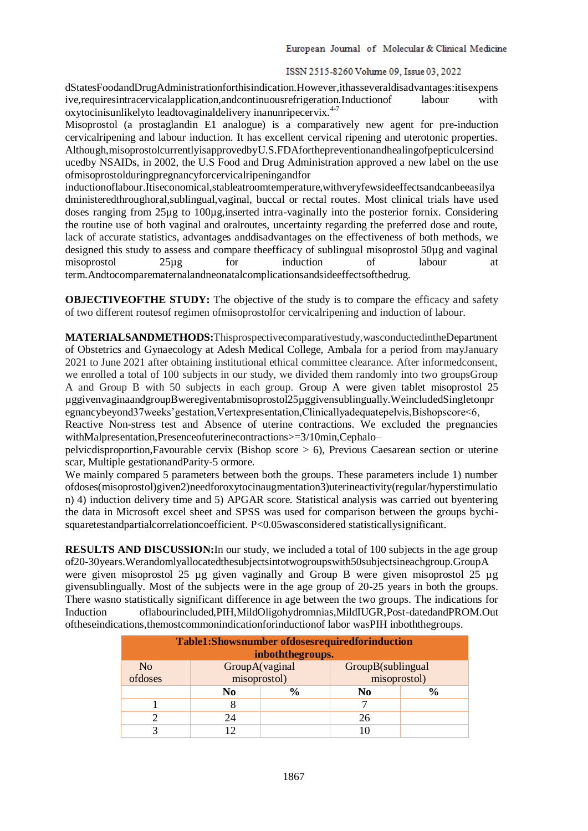## ISSN 2515-8260 Volume 09, Issue 03, 2022

dStatesFoodandDrugAdministrationforthisindication.However,ithasseveraldisadvantages:itisexpens ive,requiresintracervicalapplication,andcontinuousrefrigeration.Inductionof labour with oxytocinisunlikelyto leadtovaginaldelivery inanunripecervix.<sup>4-7</sup>

Misoprostol (a prostaglandin E1 analogue) is a comparatively new agent for pre-induction cervicalripening and labour induction. It has excellent cervical ripening and uterotonic properties. Although,misoprostolcurrentlyisapprovedbyU.S.FDAforthepreventionandhealingofpepticulcersind ucedby NSAIDs, in 2002, the U.S Food and Drug Administration approved a new label on the use ofmisoprostolduringpregnancyforcervicalripeningandfor

inductionoflabour.Itiseconomical,stableatroomtemperature,withveryfewsideeffectsandcanbeeasilya dministeredthroughoral,sublingual,vaginal, buccal or rectal routes. Most clinical trials have used doses ranging from 25µg to 100µg,inserted intra-vaginally into the posterior fornix. Considering the routine use of both vaginal and oralroutes, uncertainty regarding the preferred dose and route, lack of accurate statistics, advantages anddisadvantages on the effectiveness of both methods, we designed this study to assess and compare theefficacy of sublingual misoprostol 50µg and vaginal misoprostol 25µg for induction of labour at term.Andtocomparematernalandneonatalcomplicationsandsideeffectsofthedrug.

**OBJECTIVEOFTHE STUDY:** The objective of the study is to compare the efficacy and safety of two different routesof regimen ofmisoprostolfor cervicalripening and induction of labour.

**MATERIALSANDMETHODS:**Thisprospectivecomparativestudy,wasconductedintheDepartment of Obstetrics and Gynaecology at Adesh Medical College, Ambala for a period from mayJanuary 2021 to June 2021 after obtaining institutional ethical committee clearance. After informedconsent, we enrolled a total of 100 subjects in our study, we divided them randomly into two groupsGroup A and Group B with 50 subjects in each group. Group A were given tablet misoprostol 25 µggivenvaginaandgroupBweregiventabmisoprostol25µggivensublingually.WeincludedSingletonpr egnancybeyond37weeks'gestation,Vertexpresentation,Clinicallyadequatepelvis,Bishopscore<6,

Reactive Non-stress test and Absence of uterine contractions. We excluded the pregnancies withMalpresentation,Presenceofuterinecontractions>=3/10min,Cephalo–

pelvicdisproportion,Favourable cervix (Bishop score > 6), Previous Caesarean section or uterine scar, Multiple gestationandParity-5 ormore.

We mainly compared 5 parameters between both the groups. These parameters include 1) number ofdoses(misoprostol)given2)needforoxytocinaugmentation3)uterineactivity(regular/hyperstimulatio n) 4) induction delivery time and 5) APGAR score. Statistical analysis was carried out byentering the data in Microsoft excel sheet and SPSS was used for comparison between the groups bychisquaretestandpartialcorrelationcoefficient. P<0.05wasconsidered statisticallysignificant.

**RESULTS AND DISCUSSION:**In our study, we included a total of 100 subjects in the age group of20-30years.Werandomlyallocatedthesubjectsintotwogroupswith50subjectsineachgroup.GroupA were given misoprostol 25 µg given vaginally and Group B were given misoprostol 25 µg givensublingually. Most of the subjects were in the age group of 20-25 years in both the groups. There wasno statistically significant difference in age between the two groups. The indications for Induction oflabourincluded,PIH,MildOligohydromnias,MildIUGR,Post-datedandPROM.Out oftheseindications,themostcommonindicationforinductionof labor wasPIH inboththegroups.

| <b>Table1:Showsnumber of doses required for induction</b> |                |               |                   |                |  |
|-----------------------------------------------------------|----------------|---------------|-------------------|----------------|--|
| inboththegroups.                                          |                |               |                   |                |  |
| N <sub>o</sub>                                            | GroupA(vaginal |               | GroupB(sublingual |                |  |
| ofdoses                                                   | misoprostol)   |               | misoprostol)      |                |  |
|                                                           | N <sub>0</sub> | $\frac{6}{9}$ | N <sub>0</sub>    | $\frac{6}{10}$ |  |
|                                                           | 8              |               |                   |                |  |
|                                                           | 24             |               | 26                |                |  |
|                                                           |                |               |                   |                |  |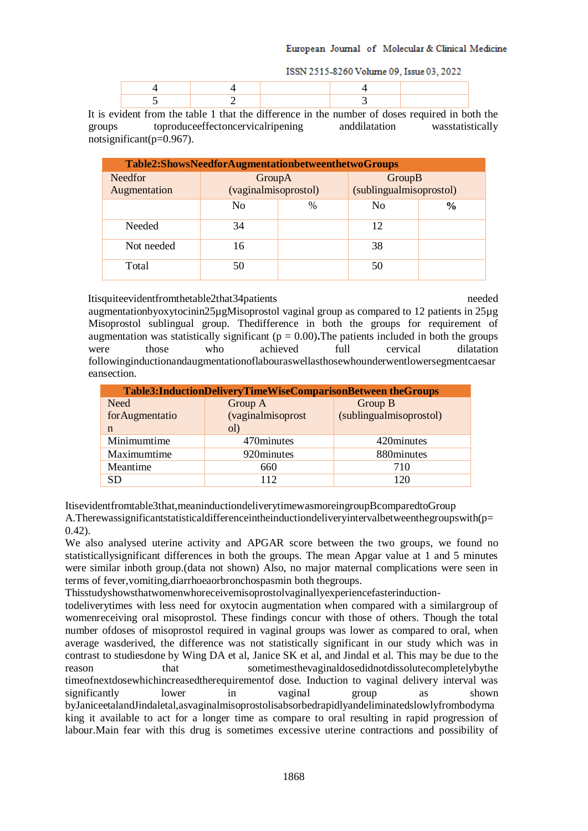#### European Journal of Molecular & Clinical Medicine

|  | ISSN 2515-8260 Volume 09, Issue 03, 2022 |
|--|------------------------------------------|
|--|------------------------------------------|

It is evident from the table 1 that the difference in the number of doses required in both the groups toproduceeffectoncervicalripening anddilatation wasstatistically notsignificant(p=0.967).

| Table2:ShowsNeedforAugmentationbetweenthetwoGroups |                                |      |                                   |               |
|----------------------------------------------------|--------------------------------|------|-----------------------------------|---------------|
| <b>Needfor</b><br>Augmentation                     | GroupA<br>(vaginalmisoprostol) |      | GroupB<br>(sublingualmisoprostol) |               |
|                                                    | N <sub>0</sub>                 | $\%$ | N <sub>0</sub>                    | $\frac{6}{9}$ |
| Needed                                             | 34                             |      | 12                                |               |
| Not needed                                         | 16                             |      | 38                                |               |
| Total                                              | 50                             |      | 50                                |               |

Itisquiteevidentfromthetable2that34patients needed

augmentationbyoxytocinin25µgMisoprostol vaginal group as compared to 12 patients in 25µg Misoprostol sublingual group. Thedifference in both the groups for requirement of augmentation was statistically significant ( $p = 0.00$ ). The patients included in both the groups were those who achieved full cervical dilatation followinginductionandaugmentationoflabouraswellasthosewhounderwentlowersegmentcaesar eansection.

| Table3:InductionDeliveryTimeWiseComparisonBetween theGroups |                   |                         |  |
|-------------------------------------------------------------|-------------------|-------------------------|--|
| Need                                                        | Group A           | Group B                 |  |
| forAugmentatio                                              | (vaginalmisoprost | (sublingualmisoprostol) |  |
| n                                                           | ol)               |                         |  |
| Minimumtime                                                 | 470 minutes       | 420 minutes             |  |
| Maximumtime                                                 | 920minutes        | 880minutes              |  |
| Meantime                                                    | 660               | 710                     |  |
| <b>SD</b>                                                   | 112               | 120                     |  |

Itisevidentfromtable3that,meaninductiondeliverytimewasmoreingroupBcomparedtoGroup

A.Therewassignificantstatisticaldifferenceintheinductiondeliveryintervalbetweenthegroupswith(p= 0.42).

We also analysed uterine activity and APGAR score between the two groups, we found no statisticallysignificant differences in both the groups. The mean Apgar value at 1 and 5 minutes were similar inboth group.(data not shown) Also, no major maternal complications were seen in terms of fever,vomiting,diarrhoeaorbronchospasmin both thegroups.

Thisstudyshowsthatwomenwhoreceivemisoprostolvaginallyexperiencefasterinduction-

todeliverytimes with less need for oxytocin augmentation when compared with a similargroup of womenreceiving oral misoprostol. These findings concur with those of others. Though the total number ofdoses of misoprostol required in vaginal groups was lower as compared to oral, when average wasderived, the difference was not statistically significant in our study which was in contrast to studiesdone by Wing DA et al, Janice SK et al, and Jindal et al. This may be due to the reason that sometimesthevaginaldosedidnotdissolutecompletelybythe timeofnextdosewhichincreasedtherequirementof dose. Induction to vaginal delivery interval was significantly lower in vaginal group as shown byJaniceetalandJindaletal,asvaginalmisoprostolisabsorbedrapidlyandeliminatedslowlyfrombodyma king it available to act for a longer time as compare to oral resulting in rapid progression of labour.Main fear with this drug is sometimes excessive uterine contractions and possibility of